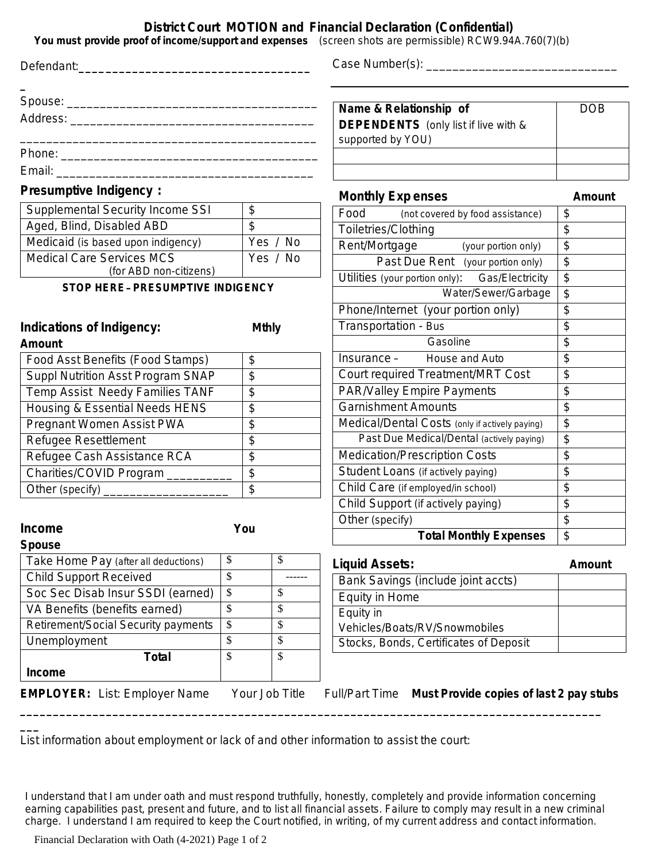## **District Court MOTION and Financial Declaration (Confidential)**

**You must provide proof of income/support and expenses** *(screen shots are permissible)* RCW9.94A.760(7)(b)

| You must provide proof of income/support and expenses (screen shots are permissible) RCW9.94A.760(7)(b) |                          |              |                                                                                            |                 |
|---------------------------------------------------------------------------------------------------------|--------------------------|--------------|--------------------------------------------------------------------------------------------|-----------------|
|                                                                                                         |                          |              |                                                                                            |                 |
|                                                                                                         |                          |              |                                                                                            | <b>DOB</b>      |
|                                                                                                         |                          |              | Name & Relationship of<br><b>DEPENDENTS</b> (only list if live with &<br>supported by YOU) |                 |
|                                                                                                         |                          |              |                                                                                            |                 |
|                                                                                                         |                          |              |                                                                                            |                 |
| <b>Presumptive Indigency:</b>                                                                           |                          |              | <b>Monthly Expenses</b>                                                                    | <b>Amount</b>   |
| Supplemental Security Income SSI                                                                        | \$                       |              | Food (not covered by food assistance)                                                      | $\sqrt[6]{2}$   |
| Aged, Blind, Disabled ABD                                                                               | $\mathfrak{P}$           |              | Toiletries/Clothing                                                                        | \$              |
| Medicaid (is based upon indigency)                                                                      |                          | Yes / No     | Rent/Mortgage (your portion only)                                                          | \$              |
| <b>Medical Care Services MCS</b>                                                                        |                          | Yes / No     | Past Due Rent (your portion only)                                                          | \$              |
| (for ABD non-citizens)                                                                                  |                          |              | Utilities (your portion only): Gas/Electricity                                             | \$              |
| <b>STOP HERE-PRESUMPTIVE INDIGENCY</b>                                                                  |                          |              | Water/Sewer/Garbage                                                                        | \$              |
|                                                                                                         |                          |              | Phone/Internet (your portion only)                                                         | \$              |
| Indications of Indigency:<br>Amount                                                                     |                          | <b>Mthly</b> | Transportation - Bus                                                                       | \$              |
|                                                                                                         |                          |              | Gasoline                                                                                   | \$              |
| Food Asst Benefits (Food Stamps)                                                                        |                          |              | Insurance -<br>House and Auto                                                              | \$              |
| Suppl Nutrition Asst Program SNAP                                                                       | \$<br>\$                 |              | Court required Treatment/MRT Cost                                                          | \$              |
| Temp Assist Needy Families TANF<br>\$                                                                   |                          |              | PAR/Valley Empire Payments                                                                 | \$              |
| Housing & Essential Needs HENS<br>\$                                                                    |                          |              | <b>Garnishment Amounts</b>                                                                 | \$              |
| Pregnant Women Assist PWA                                                                               |                          |              | Medical/Dental Costs (only if actively paying)                                             | $\overline{\$}$ |
| Refugee Resettlement                                                                                    |                          |              | Past Due Medical/Dental (actively paying)                                                  | \$              |
| Refugee Cash Assistance RCA                                                                             |                          |              | Medication/Prescription Costs                                                              | \$              |
| Charities/COVID Program _____                                                                           |                          |              | Student Loans (if actively paying)                                                         | \$              |
|                                                                                                         | $\overline{\mathcal{S}}$ |              | Child Care (if employed/in school)                                                         | $\frac{1}{2}$   |
|                                                                                                         |                          |              | Child Support (if actively paying)                                                         | \$              |
|                                                                                                         |                          |              | Other (specify)                                                                            | \$              |
| <b>Income</b><br>Spouse                                                                                 | You                      |              | <b>Total Monthly Expenses</b>                                                              | \$              |
| Take Home Pay (after all deductions)                                                                    | \$                       | \$           | <b>Liquid Assets:</b>                                                                      | Amount          |
| <b>Child Support Received</b>                                                                           | \$                       |              | Bank Savings (include joint accts)                                                         |                 |
| Soc Sec Disab Insur SSDI (earned)                                                                       | $\overline{\$}$          | \$           | Equity in Home                                                                             |                 |
| VA Benefits (benefits earned)                                                                           | \$                       | \$           | Equity in                                                                                  |                 |
| Retirement/Social Security payments                                                                     | $\$$                     | \$           | Vehicles/Boats/RV/Snowmobiles                                                              |                 |
| Unemployment                                                                                            | \$                       | \$           | Stocks, Bonds, Certificates of Deposit                                                     |                 |
| <b>Total</b>                                                                                            | \$                       | \$           |                                                                                            |                 |
| Income                                                                                                  |                          |              |                                                                                            |                 |

List information about employment or lack of and other information to assist the court:

I understand that I am under oath and must respond truthfully, honestly, completely and provide information concerning earning capabilities past, present and future, and to list all financial assets. Failure to comply may result in a new criminal charge. I understand I am required to keep the Court notified, in writing, of my current address and contact information.

**\_\_\_\_\_\_\_\_\_\_\_\_\_\_\_\_\_\_\_\_\_\_\_\_\_\_\_\_\_\_\_\_\_\_\_\_\_\_\_\_\_\_\_\_\_\_\_\_\_\_\_\_\_\_\_\_\_\_\_\_\_\_\_\_\_\_\_\_\_\_\_\_\_\_\_\_\_\_\_\_\_\_\_\_\_\_\_\_**

Financial Declaration with Oath (4-2021) Page 1 of 2

**\_\_\_**